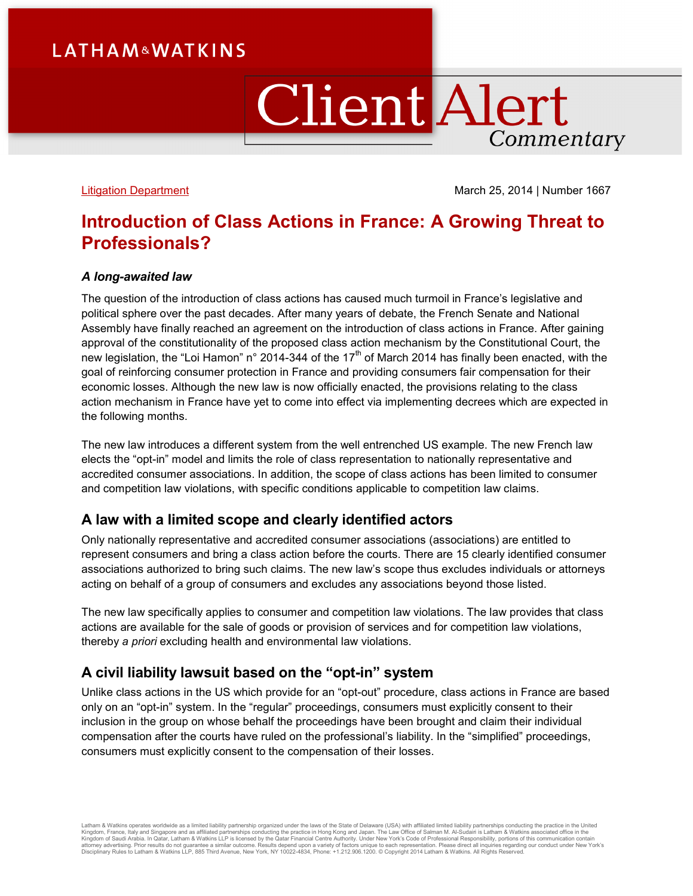# **LATHAM&WATKINS**

# **Client Alert** Commentary

[Litigation Department](http://www.lw.com/practices/Litigation) March 25, 2014 | Number 1667

## **Introduction of Class Actions in France: A Growing Threat to Professionals?**

#### *A long-awaited law*

The question of the introduction of class actions has caused much turmoil in France's legislative and political sphere over the past decades. After many years of debate, the French Senate and National Assembly have finally reached an agreement on the introduction of class actions in France. After gaining approval of the constitutionality of the proposed class action mechanism by the Constitutional Court, the new legislation, the "Loi Hamon" n° 2014-344 of the 17<sup>th</sup> of March 2014 has finally been enacted, with the goal of reinforcing consumer protection in France and providing consumers fair compensation for their economic losses. Although the new law is now officially enacted, the provisions relating to the class action mechanism in France have yet to come into effect via implementing decrees which are expected in the following months.

The new law introduces a different system from the well entrenched US example. The new French law elects the "opt-in" model and limits the role of class representation to nationally representative and accredited consumer associations. In addition, the scope of class actions has been limited to consumer and competition law violations, with specific conditions applicable to competition law claims.

#### **A law with a limited scope and clearly identified actors**

Only nationally representative and accredited consumer associations (associations) are entitled to represent consumers and bring a class action before the courts. There are 15 clearly identified consumer associations authorized to bring such claims. The new law's scope thus excludes individuals or attorneys acting on behalf of a group of consumers and excludes any associations beyond those listed.

The new law specifically applies to consumer and competition law violations. The law provides that class actions are available for the sale of goods or provision of services and for competition law violations, thereby *a priori* excluding health and environmental law violations.

### **A civil liability lawsuit based on the "opt-in" system**

Unlike class actions in the US which provide for an "opt-out" procedure, class actions in France are based only on an "opt-in" system. In the "regular" proceedings, consumers must explicitly consent to their inclusion in the group on whose behalf the proceedings have been brought and claim their individual compensation after the courts have ruled on the professional's liability. In the "simplified" proceedings, consumers must explicitly consent to the compensation of their losses.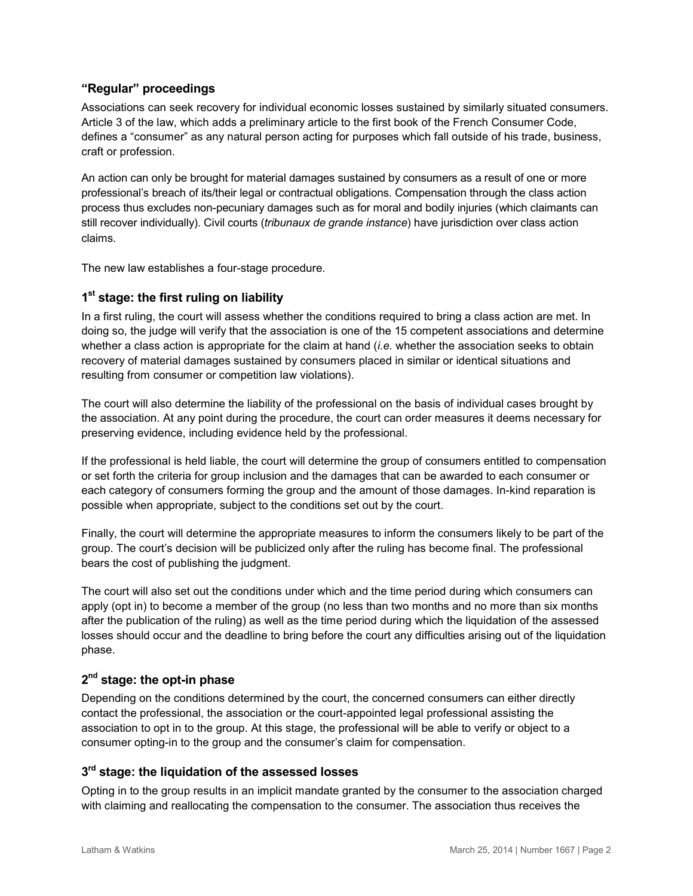#### **"Regular" proceedings**

Associations can seek recovery for individual economic losses sustained by similarly situated consumers. Article 3 of the law, which adds a preliminary article to the first book of the French Consumer Code, defines a "consumer" as any natural person acting for purposes which fall outside of his trade, business, craft or profession.

An action can only be brought for material damages sustained by consumers as a result of one or more professional's breach of its/their legal or contractual obligations. Compensation through the class action process thus excludes non-pecuniary damages such as for moral and bodily injuries (which claimants can still recover individually). Civil courts (*tribunaux de grande instance*) have jurisdiction over class action claims.

The new law establishes a four-stage procedure.

### **1st stage: the first ruling on liability**

In a first ruling, the court will assess whether the conditions required to bring a class action are met. In doing so, the judge will verify that the association is one of the 15 competent associations and determine whether a class action is appropriate for the claim at hand (*i.e.* whether the association seeks to obtain recovery of material damages sustained by consumers placed in similar or identical situations and resulting from consumer or competition law violations).

The court will also determine the liability of the professional on the basis of individual cases brought by the association. At any point during the procedure, the court can order measures it deems necessary for preserving evidence, including evidence held by the professional.

If the professional is held liable, the court will determine the group of consumers entitled to compensation or set forth the criteria for group inclusion and the damages that can be awarded to each consumer or each category of consumers forming the group and the amount of those damages. In-kind reparation is possible when appropriate, subject to the conditions set out by the court.

Finally, the court will determine the appropriate measures to inform the consumers likely to be part of the group. The court's decision will be publicized only after the ruling has become final. The professional bears the cost of publishing the judgment.

The court will also set out the conditions under which and the time period during which consumers can apply (opt in) to become a member of the group (no less than two months and no more than six months after the publication of the ruling) as well as the time period during which the liquidation of the assessed losses should occur and the deadline to bring before the court any difficulties arising out of the liquidation phase.

### **2nd stage: the opt-in phase**

Depending on the conditions determined by the court, the concerned consumers can either directly contact the professional, the association or the court-appointed legal professional assisting the association to opt in to the group. At this stage, the professional will be able to verify or object to a consumer opting-in to the group and the consumer's claim for compensation.

#### **3rd stage: the liquidation of the assessed losses**

Opting in to the group results in an implicit mandate granted by the consumer to the association charged with claiming and reallocating the compensation to the consumer. The association thus receives the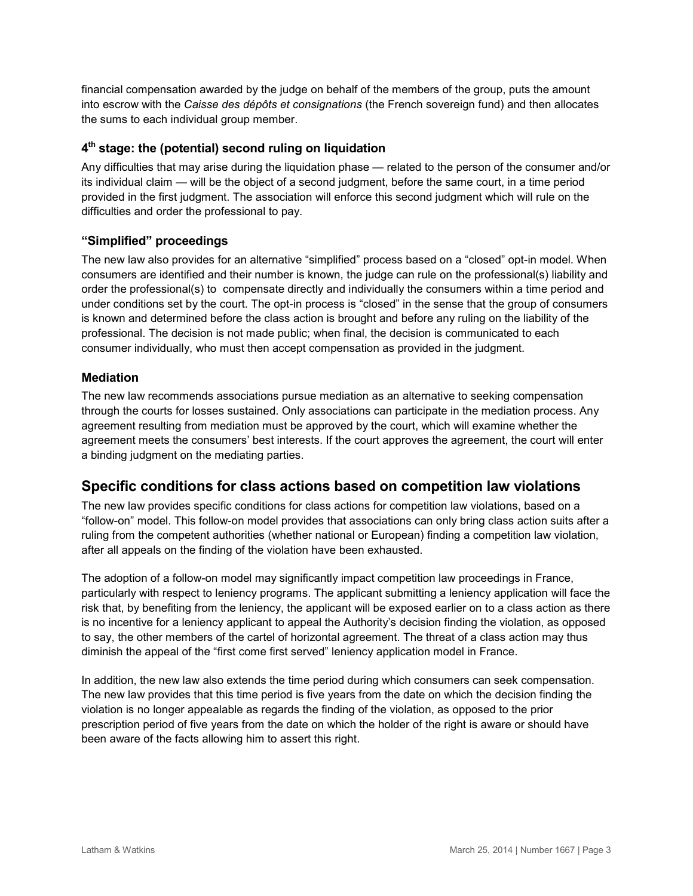financial compensation awarded by the judge on behalf of the members of the group, puts the amount into escrow with the *Caisse des dépôts et consignations* (the French sovereign fund) and then allocates the sums to each individual group member.

#### **4th stage: the (potential) second ruling on liquidation**

Any difficulties that may arise during the liquidation phase — related to the person of the consumer and/or its individual claim — will be the object of a second judgment, before the same court, in a time period provided in the first judgment. The association will enforce this second judgment which will rule on the difficulties and order the professional to pay.

#### **"Simplified" proceedings**

The new law also provides for an alternative "simplified" process based on a "closed" opt-in model. When consumers are identified and their number is known, the judge can rule on the professional(s) liability and order the professional(s) to compensate directly and individually the consumers within a time period and under conditions set by the court. The opt-in process is "closed" in the sense that the group of consumers is known and determined before the class action is brought and before any ruling on the liability of the professional. The decision is not made public; when final, the decision is communicated to each consumer individually, who must then accept compensation as provided in the judgment.

#### **Mediation**

The new law recommends associations pursue mediation as an alternative to seeking compensation through the courts for losses sustained. Only associations can participate in the mediation process. Any agreement resulting from mediation must be approved by the court, which will examine whether the agreement meets the consumers' best interests. If the court approves the agreement, the court will enter a binding judgment on the mediating parties.

### **Specific conditions for class actions based on competition law violations**

The new law provides specific conditions for class actions for competition law violations, based on a "follow-on" model. This follow-on model provides that associations can only bring class action suits after a ruling from the competent authorities (whether national or European) finding a competition law violation, after all appeals on the finding of the violation have been exhausted.

The adoption of a follow-on model may significantly impact competition law proceedings in France, particularly with respect to leniency programs. The applicant submitting a leniency application will face the risk that, by benefiting from the leniency, the applicant will be exposed earlier on to a class action as there is no incentive for a leniency applicant to appeal the Authority's decision finding the violation, as opposed to say, the other members of the cartel of horizontal agreement. The threat of a class action may thus diminish the appeal of the "first come first served" leniency application model in France.

In addition, the new law also extends the time period during which consumers can seek compensation. The new law provides that this time period is five years from the date on which the decision finding the violation is no longer appealable as regards the finding of the violation, as opposed to the prior prescription period of five years from the date on which the holder of the right is aware or should have been aware of the facts allowing him to assert this right.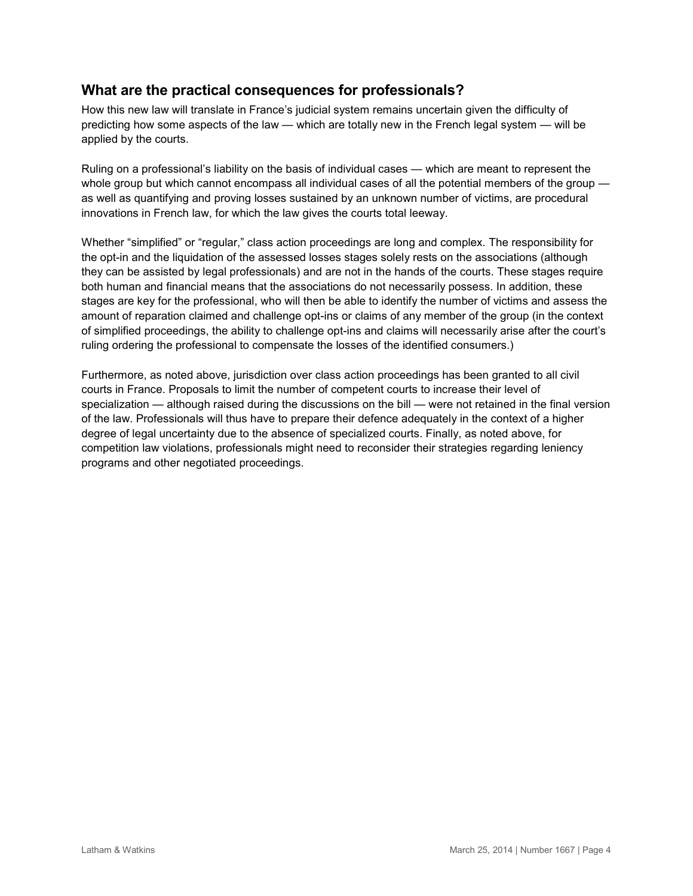### **What are the practical consequences for professionals?**

How this new law will translate in France's judicial system remains uncertain given the difficulty of predicting how some aspects of the law — which are totally new in the French legal system — will be applied by the courts.

Ruling on a professional's liability on the basis of individual cases — which are meant to represent the whole group but which cannot encompass all individual cases of all the potential members of the group as well as quantifying and proving losses sustained by an unknown number of victims, are procedural innovations in French law, for which the law gives the courts total leeway.

Whether "simplified" or "regular," class action proceedings are long and complex. The responsibility for the opt-in and the liquidation of the assessed losses stages solely rests on the associations (although they can be assisted by legal professionals) and are not in the hands of the courts. These stages require both human and financial means that the associations do not necessarily possess. In addition, these stages are key for the professional, who will then be able to identify the number of victims and assess the amount of reparation claimed and challenge opt-ins or claims of any member of the group (in the context of simplified proceedings, the ability to challenge opt-ins and claims will necessarily arise after the court's ruling ordering the professional to compensate the losses of the identified consumers.)

Furthermore, as noted above, jurisdiction over class action proceedings has been granted to all civil courts in France. Proposals to limit the number of competent courts to increase their level of specialization — although raised during the discussions on the bill — were not retained in the final version of the law. Professionals will thus have to prepare their defence adequately in the context of a higher degree of legal uncertainty due to the absence of specialized courts. Finally, as noted above, for competition law violations, professionals might need to reconsider their strategies regarding leniency programs and other negotiated proceedings.